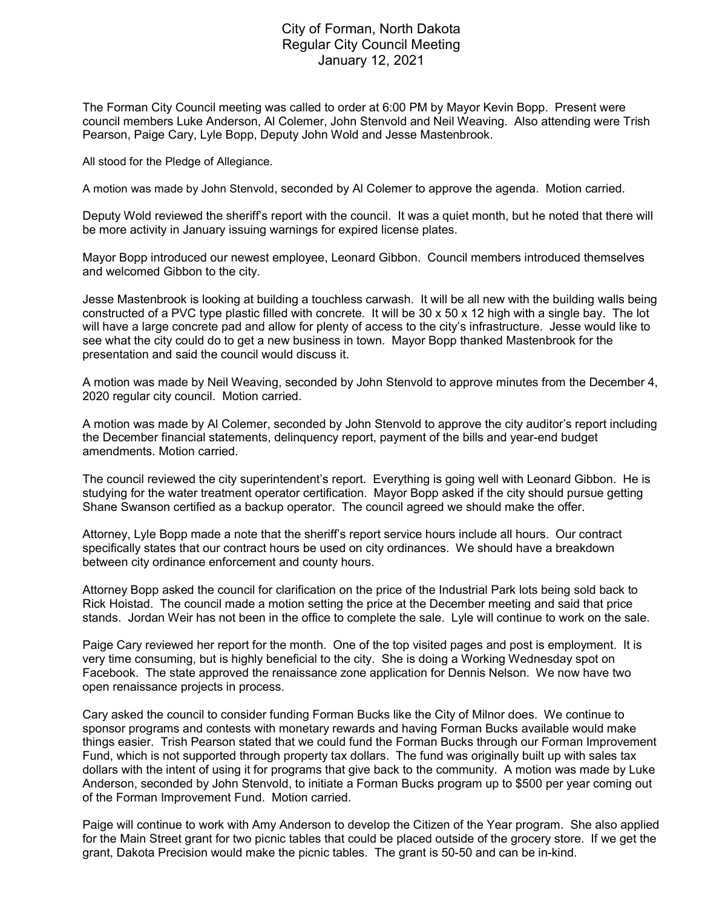## City of Forman, North Dakota Regular City Council Meeting January 12, 2021

The Forman City Council meeting was called to order at 6:00 PM by Mayor Kevin Bopp. Present were council members Luke Anderson, Al Colemer, John Stenvold and Neil Weaving. Also attending were Trish Pearson, Paige Cary, Lyle Bopp, Deputy John Wold and Jesse Mastenbrook.

All stood for the Pledge of Allegiance.

A motion was made by John Stenvold, seconded by Al Colemer to approve the agenda. Motion carried.

Deputy Wold reviewed the sheriff's report with the council. It was a quiet month, but he noted that there will be more activity in January issuing warnings for expired license plates.

Mayor Bopp introduced our newest employee, Leonard Gibbon. Council members introduced themselves and welcomed Gibbon to the city.

Jesse Mastenbrook is looking at building a touchless carwash. It will be all new with the building walls being constructed of a PVC type plastic filled with concrete. It will be 30 x 50 x 12 high with a single bay. The lot will have a large concrete pad and allow for plenty of access to the city's infrastructure. Jesse would like to see what the city could do to get a new business in town. Mayor Bopp thanked Mastenbrook for the presentation and said the council would discuss it.

A motion was made by Neil Weaving, seconded by John Stenvold to approve minutes from the December 4, 2020 regular city council. Motion carried.

A motion was made by Al Colemer, seconded by John Stenvold to approve the city auditor's report including the December financial statements, delinquency report, payment of the bills and year-end budget amendments. Motion carried.

The council reviewed the city superintendent's report. Everything is going well with Leonard Gibbon. He is studying for the water treatment operator certification. Mayor Bopp asked if the city should pursue getting Shane Swanson certified as a backup operator. The council agreed we should make the offer.

Attorney, Lyle Bopp made a note that the sheriff's report service hours include all hours. Our contract specifically states that our contract hours be used on city ordinances. We should have a breakdown between city ordinance enforcement and county hours.

Attorney Bopp asked the council for clarification on the price of the Industrial Park lots being sold back to Rick Hoistad. The council made a motion setting the price at the December meeting and said that price stands. Jordan Weir has not been in the office to complete the sale. Lyle will continue to work on the sale.

Paige Cary reviewed her report for the month. One of the top visited pages and post is employment. It is very time consuming, but is highly beneficial to the city. She is doing a Working Wednesday spot on Facebook. The state approved the renaissance zone application for Dennis Nelson. We now have two open renaissance projects in process.

Cary asked the council to consider funding Forman Bucks like the City of Milnor does. We continue to sponsor programs and contests with monetary rewards and having Forman Bucks available would make things easier. Trish Pearson stated that we could fund the Forman Bucks through our Forman Improvement Fund, which is not supported through property tax dollars. The fund was originally built up with sales tax dollars with the intent of using it for programs that give back to the community. A motion was made by Luke Anderson, seconded by John Stenvold, to initiate a Forman Bucks program up to \$500 per year coming out of the Forman Improvement Fund. Motion carried.

Paige will continue to work with Amy Anderson to develop the Citizen of the Year program. She also applied for the Main Street grant for two picnic tables that could be placed outside of the grocery store. If we get the grant, Dakota Precision would make the picnic tables. The grant is 50-50 and can be in-kind.